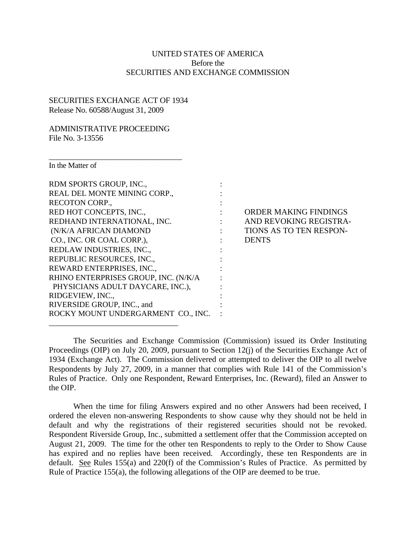## UNITED STATES OF AMERICA Before the SECURITIES AND EXCHANGE COMMISSION

## SECURITIES EXCHANGE ACT OF 1934 Release No. 60588/August 31, 2009

 $\overline{\phantom{a}}$  , where the contract of the contract of the contract of the contract of the contract of the contract of the contract of the contract of the contract of the contract of the contract of the contract of the contr

\_\_\_\_\_\_\_\_\_\_\_\_\_\_\_\_\_\_\_\_\_\_\_\_\_\_\_\_\_\_\_\_\_\_

## ADMINISTRATIVE PROCEEDING File No. 3-13556

In the Matter of

| In the Matter of                     |                            |               |
|--------------------------------------|----------------------------|---------------|
| RDM SPORTS GROUP, INC.,              |                            |               |
| REAL DEL MONTE MINING CORP.,         |                            |               |
| RECOTON CORP.,                       |                            |               |
| RED HOT CONCEPTS, INC.,              |                            | <b>ORDER</b>  |
| REDHAND INTERNATIONAL, INC.          | $\mathcal{L}^{\text{max}}$ | <b>AND RE</b> |
| (N/K/A AFRICAN DIAMOND               | $\mathcal{L}(\mathcal{L})$ | TIONS A       |
| CO., INC. OR COAL CORP.),            | the con-                   | <b>DENTS</b>  |
| REDLAW INDUSTRIES, INC.,             |                            |               |
| REPUBLIC RESOURCES, INC.,            |                            |               |
| REWARD ENTERPRISES, INC.,            |                            |               |
| RHINO ENTERPRISES GROUP, INC. (N/K/A |                            |               |
| PHYSICIANS ADULT DAYCARE, INC.),     |                            |               |
| RIDGEVIEW, INC.,                     |                            |               |
| RIVERSIDE GROUP, INC., and           |                            |               |
| ROCKY MOUNT UNDERGARMENT CO., INC.   |                            |               |

ORDER MAKING FINDINGS AND REVOKING REGISTRA-TIONS AS TO TEN RESPON-

The Securities and Exchange Commission (Commission) issued its Order Instituting Proceedings (OIP) on July 20, 2009, pursuant to Section 12(j) of the Securities Exchange Act of 1934 (Exchange Act). The Commission delivered or attempted to deliver the OIP to all twelve Respondents by July 27, 2009, in a manner that complies with Rule 141 of the Commission's Rules of Practice. Only one Respondent, Reward Enterprises, Inc. (Reward), filed an Answer to the OIP.

When the time for filing Answers expired and no other Answers had been received, I ordered the eleven non-answering Respondents to show cause why they should not be held in default and why the registrations of their registered securities should not be revoked. Respondent Riverside Group, Inc., submitted a settlement offer that the Commission accepted on August 21, 2009. The time for the other ten Respondents to reply to the Order to Show Cause has expired and no replies have been received. Accordingly, these ten Respondents are in default. See Rules 155(a) and 220(f) of the Commission's Rules of Practice. As permitted by Rule of Practice 155(a), the following allegations of the OIP are deemed to be true.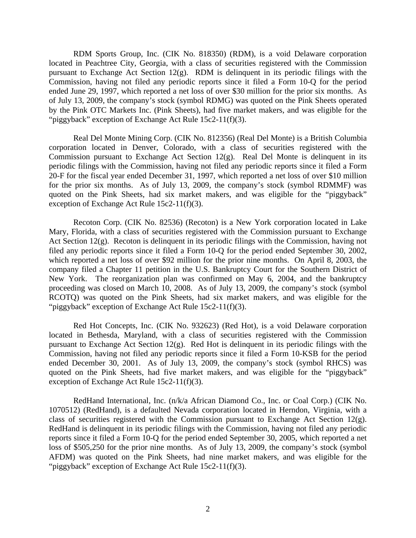RDM Sports Group, Inc. (CIK No. 818350) (RDM), is a void Delaware corporation located in Peachtree City, Georgia, with a class of securities registered with the Commission pursuant to Exchange Act Section 12(g). RDM is delinquent in its periodic filings with the Commission, having not filed any periodic reports since it filed a Form 10-Q for the period ended June 29, 1997, which reported a net loss of over \$30 million for the prior six months. As of July 13, 2009, the company's stock (symbol RDMG) was quoted on the Pink Sheets operated by the Pink OTC Markets Inc. (Pink Sheets), had five market makers, and was eligible for the "piggyback" exception of Exchange Act Rule 15c2-11(f)(3).

Real Del Monte Mining Corp. (CIK No. 812356) (Real Del Monte) is a British Columbia corporation located in Denver, Colorado, with a class of securities registered with the Commission pursuant to Exchange Act Section 12(g). Real Del Monte is delinquent in its periodic filings with the Commission, having not filed any periodic reports since it filed a Form 20-F for the fiscal year ended December 31, 1997, which reported a net loss of over \$10 million for the prior six months. As of July 13, 2009, the company's stock (symbol RDMMF) was quoted on the Pink Sheets, had six market makers, and was eligible for the "piggyback" exception of Exchange Act Rule 15c2-11(f)(3).

Recoton Corp. (CIK No. 82536) (Recoton) is a New York corporation located in Lake Mary, Florida, with a class of securities registered with the Commission pursuant to Exchange Act Section 12(g). Recoton is delinquent in its periodic filings with the Commission, having not filed any periodic reports since it filed a Form 10-Q for the period ended September 30, 2002, which reported a net loss of over \$92 million for the prior nine months. On April 8, 2003, the company filed a Chapter 11 petition in the U.S. Bankruptcy Court for the Southern District of New York. The reorganization plan was confirmed on May 6, 2004, and the bankruptcy proceeding was closed on March 10, 2008. As of July 13, 2009, the company's stock (symbol RCOTQ) was quoted on the Pink Sheets, had six market makers, and was eligible for the "piggyback" exception of Exchange Act Rule 15c2-11(f)(3).

Red Hot Concepts, Inc. (CIK No. 932623) (Red Hot), is a void Delaware corporation located in Bethesda, Maryland, with a class of securities registered with the Commission pursuant to Exchange Act Section 12(g). Red Hot is delinquent in its periodic filings with the Commission, having not filed any periodic reports since it filed a Form 10-KSB for the period ended December 30, 2001. As of July 13, 2009, the company's stock (symbol RHCS) was quoted on the Pink Sheets, had five market makers, and was eligible for the "piggyback" exception of Exchange Act Rule 15c2-11(f)(3).

RedHand International, Inc. (n/k/a African Diamond Co., Inc. or Coal Corp.) (CIK No. 1070512) (RedHand), is a defaulted Nevada corporation located in Herndon, Virginia, with a class of securities registered with the Commission pursuant to Exchange Act Section 12(g). RedHand is delinquent in its periodic filings with the Commission, having not filed any periodic reports since it filed a Form 10-Q for the period ended September 30, 2005, which reported a net loss of \$505,250 for the prior nine months. As of July 13, 2009, the company's stock (symbol AFDM) was quoted on the Pink Sheets, had nine market makers, and was eligible for the "piggyback" exception of Exchange Act Rule 15c2-11(f)(3).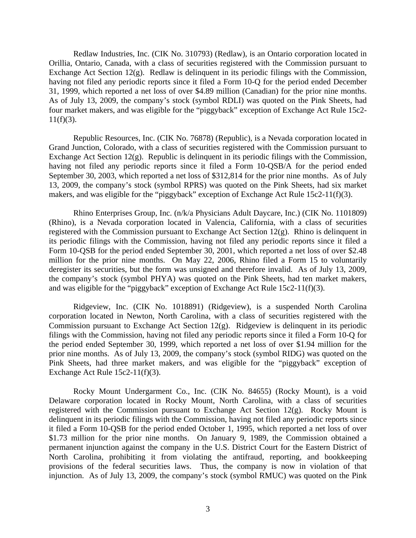Redlaw Industries, Inc. (CIK No. 310793) (Redlaw), is an Ontario corporation located in Orillia, Ontario, Canada, with a class of securities registered with the Commission pursuant to Exchange Act Section 12(g). Redlaw is delinquent in its periodic filings with the Commission, having not filed any periodic reports since it filed a Form 10-Q for the period ended December 31, 1999, which reported a net loss of over \$4.89 million (Canadian) for the prior nine months. As of July 13, 2009, the company's stock (symbol RDLI) was quoted on the Pink Sheets, had four market makers, and was eligible for the "piggyback" exception of Exchange Act Rule 15c2-  $11(f)(3)$ .

Republic Resources, Inc. (CIK No. 76878) (Republic), is a Nevada corporation located in Grand Junction, Colorado, with a class of securities registered with the Commission pursuant to Exchange Act Section 12(g). Republic is delinquent in its periodic filings with the Commission, having not filed any periodic reports since it filed a Form 10-QSB/A for the period ended September 30, 2003, which reported a net loss of \$312,814 for the prior nine months. As of July 13, 2009, the company's stock (symbol RPRS) was quoted on the Pink Sheets, had six market makers, and was eligible for the "piggyback" exception of Exchange Act Rule 15c2-11(f)(3).

Rhino Enterprises Group, Inc. (n/k/a Physicians Adult Daycare, Inc.) (CIK No. 1101809) (Rhino), is a Nevada corporation located in Valencia, California, with a class of securities registered with the Commission pursuant to Exchange Act Section 12(g). Rhino is delinquent in its periodic filings with the Commission, having not filed any periodic reports since it filed a Form 10-QSB for the period ended September 30, 2001, which reported a net loss of over \$2.48 million for the prior nine months. On May 22, 2006, Rhino filed a Form 15 to voluntarily deregister its securities, but the form was unsigned and therefore invalid. As of July 13, 2009, the company's stock (symbol PHYA) was quoted on the Pink Sheets, had ten market makers, and was eligible for the "piggyback" exception of Exchange Act Rule 15c2-11(f)(3).

Ridgeview, Inc. (CIK No. 1018891) (Ridgeview), is a suspended North Carolina corporation located in Newton, North Carolina, with a class of securities registered with the Commission pursuant to Exchange Act Section 12(g). Ridgeview is delinquent in its periodic filings with the Commission, having not filed any periodic reports since it filed a Form 10-Q for the period ended September 30, 1999, which reported a net loss of over \$1.94 million for the prior nine months. As of July 13, 2009, the company's stock (symbol RIDG) was quoted on the Pink Sheets, had three market makers, and was eligible for the "piggyback" exception of Exchange Act Rule 15c2-11(f)(3).

Rocky Mount Undergarment Co., Inc. (CIK No. 84655) (Rocky Mount), is a void Delaware corporation located in Rocky Mount, North Carolina, with a class of securities registered with the Commission pursuant to Exchange Act Section 12(g). Rocky Mount is delinquent in its periodic filings with the Commission, having not filed any periodic reports since it filed a Form 10-QSB for the period ended October 1, 1995, which reported a net loss of over \$1.73 million for the prior nine months. On January 9, 1989, the Commission obtained a permanent injunction against the company in the U.S. District Court for the Eastern District of North Carolina, prohibiting it from violating the antifraud, reporting, and bookkeeping provisions of the federal securities laws. Thus, the company is now in violation of that injunction. As of July 13, 2009, the company's stock (symbol RMUC) was quoted on the Pink